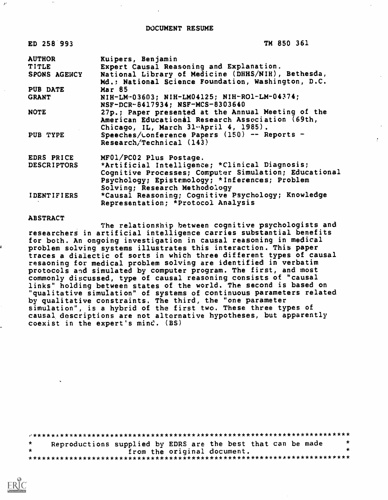TM 850 361

| <b>AUTHOR</b>      | Kuipers, Benjamin                                     |  |
|--------------------|-------------------------------------------------------|--|
| TITLE              | Expert Causal Reasoning and Explanation.              |  |
| SPONS AGENCY       | National Library of Medicine (DHHS/NIH), Bethesda,    |  |
|                    | Md.: National Science Foundation, Washington, D.C.    |  |
| PUB DATE           | <b>Mar 85</b>                                         |  |
| <b>GRANT</b>       | NIH-LM-03603; NIH-LM04125; NIH-RO1-LM-04374;          |  |
|                    | NSF-DCR-8417934; NSF-MCS-8303640                      |  |
| <b>NOTE</b>        | 27p.; Paper presented at the Annual Meeting of the    |  |
|                    | American Educational Research Association (69th,      |  |
|                    | Chicago, IL, March 31 .April 4, 1985).                |  |
| PUB TYPE           | Speeches/Lonference Papers (150) -- Reports -         |  |
|                    | Research/Technical (143)                              |  |
| EDRS PRICE         | MF01/PC02 Plus Postage.                               |  |
| <b>DESCRIPTORS</b> | *Artificial Intelligence; *Clinical Diagnosis;        |  |
|                    | Cognitive Processes; Computer Simulation; Educational |  |
|                    | Psychology; Epistemology; *Inferences; Problem        |  |
|                    | Solving; Research Methodology                         |  |
| <b>IDENTIFIERS</b> | *Causal Reasoning; Cognitive Psychology; Knowledge    |  |

Representation; \*Protocol Analysis

#### ABSTRACT

ED 258 993

 $\mathcal{R}^{\prime}$ 

The relationship between cognitive psychologists and researchers in artificial intelligence carries substantial benefits for both. An ongoing investigation in causal reasoning in medical problem solving systems illustrates this interaction. This paper traces a dialectic of sorts in which three different types of causal resaoning for medical problem solving are identified in verbatim protocols and simulated by computer program. The first, and most commonly discussed, type of causal reasoning consists of "causal links" holding between states of the world. The second is based on "qualitative simulation" of systems of continuous parameters related by qualitative constraints. The third, the "one parameter simulation", is a hybrid of the first two. These three types of causal descriptions are not alternative hypotheses, but apparently coexist in the expert's mind.  $(BS)$ 

..\*\*\*\*\*\*\*\*\*\*\*\*\*\*\*\*\*\*\*\*\*\*\*\*\*\*\*\*\*\*\*\*\*\*\*\*\*\*\*\*\*\*\*\*\*\*\*\*\*\*\*\*\*\*\*\*\*\*\*\*\*\*\*\*\*\*\*\*\*\* Reproductions supplied by EDRS are the best that can be made<br>from the original document. \* from the original document. \* \*\*\*\*\*\*\*\*\*\*\*\*\*\*\*\*\*\*\*\*\*\*\*\*\*\*\*\*\*\*\*\*\*\*\*\*\*\*\*\*\*\*\*\*\*\*\*\*\*\*\*\*\*\*\*\*\*\*\*\*\*\*\*\*\*\*\*\*\*\*\*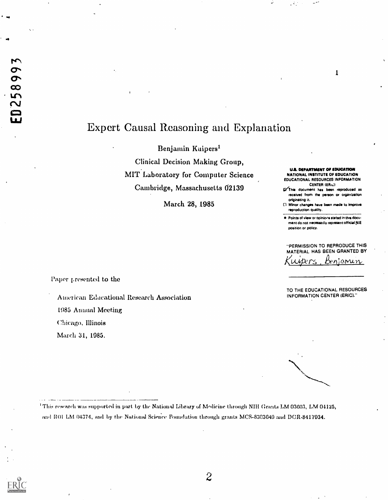## Expert Causal Reasoning and Explanation

Benjamin Kuipersi

Clinical Decision Making Group, MIT Laboratory for Computer Science Cambridge, Massachusetts 62139

March 28, 1985

U.S. DEPARTMENT Of EDUCATION NATIONAL INSTITUTE OF EDUCATION EDUCATIONAL RESOURCES INFORMATION CENTER (ERic)

1

- This document has been reproduced as received from the person or organization originating it.
- 0 Minor changes have been made to improve reproduction quality.
- **Points of view or opinions stated in this docu**ment do not necessarily represent official NIE position or policy.

"PERMISSION TO REPRODUCE THIS MATERIAL HAS BEEN GRANTED BY beniamun

Paper j.resented to the

American Edacational Research Association 1985 Annual Meeting Chicago, Illinois March 31, 1985.

TO THE EDUCATIONAL RESOURCES INFORMATION CENTER (ERIC)."

- - <sup>1</sup> This research was supported in part by the National Library of Medicine through NIH Grants LM 03603, LM 04125, and ROI LM 04374, and by the National Science Foundation through grants MCS-8303640 and DCR-8417034.

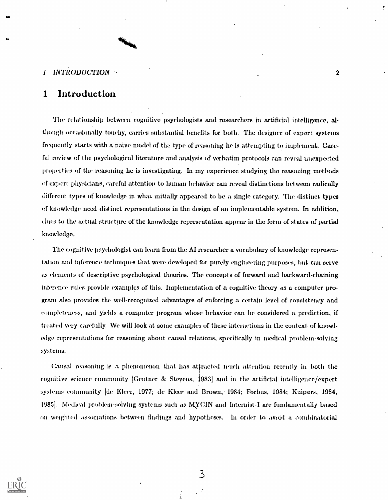#### INTRODUCTION 2  $\mathbf{I}$

Me

## <sup>1</sup> Introduction

The relationship between cognitive psychologists and researchers in artificial intelligence, although occasionally touchy, carries substantial benefits for both. The designer of expert systems frequently starts with a naive model of the type of reasoning he is attempting to implement. Careful review of the psychological literature and analysis of verbatim protocols can reveal unexpected properties of the reasoning he is investigating. In my experience studying the reasoning methods of expert physicians, careful attention to human behavior can reveal distinctions between radically different types of knowledge in what mitially appeared to be a single category. The distinct types of knowledge need distinct representations in the design of an implementable system. In addition, clues to the actual structure of the knowledge representation appear in the form of states of partial knowledge.

The cognitive psychologist can learn from the AI researcher a vocabulary of knowledge representation and inference techniques that were developed for purely engineering purposes, but can serve as elements of descriptive psychological theories. The concepts of forward and backward-chaining inference niles provide examples of this. Implementation of a cognitive theory as a computer program also provides the well-recognized advantages of enforcing a certain level of consistency and completeness, and yields a computer program whose behavior can be considered a prediction, if treated very carefully. We will look at some examples of these interactions in the context of knowledge representations for reasoning about causal relations, specifically in medical problem-solving systems.

Causal reasoning is a phenomenon that has attracted much attention recently in both the cognitive science community [Gentner & Steyens, 1983] and in the artificial intelligence/expert systems community [de Kleer, 1977; de Kleer and Brown, 1984; Forbus, 1984; Kuipers, 1984, 19851. Medical problem-solving systems such as MYCIN and Internist-I are fundamentally based on weighted associations between findings and hypotheses. In order to avoid a combinatorial

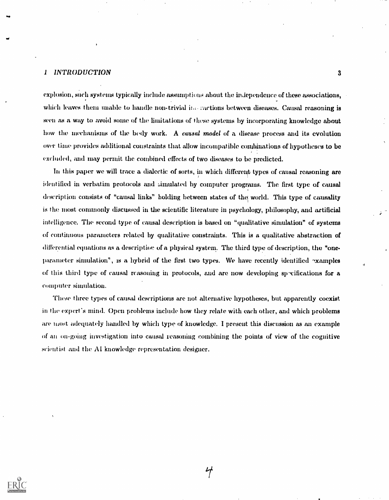## I INTRODUCTION 3

explosion, such systems typically include assumptions about the in,lependence of these associations, which leaves them unable to handle non-trivial inceractions between diseases. Causal reasoning is seen as a way to avoid some of the limitations of those systems by incorporating knowledge about how the mechanisms of the body work. A causal model of a disease process and its evolution over time provides additional constraints that allow incompatible combinations of hypotheses to be excluded, and may permit the combined effects of two diseases to be predicted.

In this paper we will trace a dialectic of sorts, in which different types of causal reasoning are identified in verbatim protocols and simulated by computer programs. The first type of causal description consists of "causal links" holding between states of the world. This type of causality is the most commonly discussed in the scientific literature in psychology, philosophy, and artificial intelligence. The second type of causal description is based on "qualitative simulation" of systems of continuous parameters related by qualitative constraints. This is a qualitative abstraction of differential equations as a description of a physical system. The third type of description, the "oneparameter simulation", is a hybrid of the first. two types. We have recently identified -xamples of this third type of causal reasoning in protocols, and are now developing specifications for a computer simulation.

These three types of causal descriptions are not alternative hypotheses, but apparently coexist in the expert's mind. Open problems include how they relate with each other, and which problems are most adequately handled by which type of knowledge. I present this discussion as an example of au on-going investigation into causal reasoning combining the points of view of the cognitive scient ist and the AI knowledge representation designer.

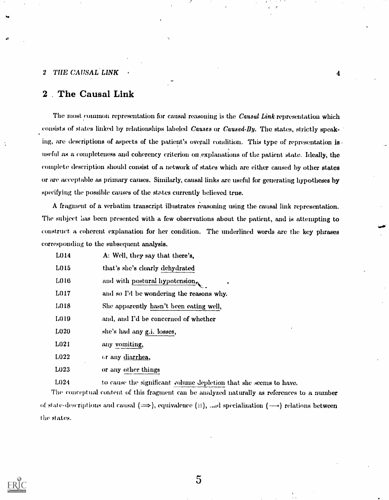## 2 . The Causal Link

The most common representation for causal reasoning is the Causal Link representation which consists of states linked by relationships labeled Causes or Caused-By. The states, strictly speaking, are descriptions of aspects of the patient's overall condition. This type of representation is useful as a completeness and coherency criterion on explanations of the patient state. Ideally, the complete description should consist of a network of states which are either caused by other states or are acceptable as primary causes. Similarly, causal links are useful for generating hypotheses by specifying the possible causes of the states currently believed true.

4

A fragment of a verbatim transcript illustrates reasoning using the causal link representation. The subject has been presented with a few observations about the patient, and is attempting to construct a coherent explanation for her condition. The underlined words arc the key phrases corresponding to the subsequent analysis.

| L014              | A: Well, they say that there's,             |
|-------------------|---------------------------------------------|
| L015              | that's she's clearly dehydrated             |
| L016              | and with postural hypotension,<br>$\bullet$ |
| L017              | and so I'd be wondering the reasons why.    |
| L018              | She apparently hasn't been eating well,     |
| L <sub>0</sub> 19 | and, and I'd be concerned of whether        |
| L020              | she's had any g.i. losses,                  |
| L <sub>021</sub>  | any vomiting,                               |
| L022              | or any diarrhea,                            |
| L023              | or any other things                         |
|                   |                                             |

L024 to cause the significant volume depletion that she seems to have.

The conceptual content of this fragment can be analyzed naturally as references to a number of state-descriptions and causal  $(\implies)$ , equivalence  $(\equiv)$ , and specialization  $(\longrightarrow)$  relations between the states.

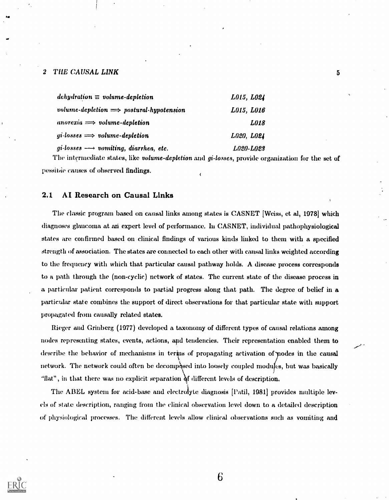ihs and the second second second second second second second second second second second second second second

| $dehydration \equiv volume\text{-}depletion$         | L015, L024  |
|------------------------------------------------------|-------------|
| volume-depletion $\implies$ postural-hypotension     | L015, L016  |
| anorexia $\Longrightarrow$ volume-depletion          | <i>L018</i> |
| gi-losses $\implies$ volume-depletion                | L020, L024  |
| gi-losses $\longrightarrow$ vomiting, diarrhea, etc. | L020-L023   |

The intermediate states, like *volume-depletion* and *gi-losses*, provide organization for the set of pessitive causes of observed findings.  $\epsilon$ 

## 2.1 AI Research on Causal Links

The classic program based on causal links among states is CASNET [Weiss, et al, 1978] which diagnoses glaucoma at an expert level of performance. In CASNET, individual pathophysiological states arc confirmed based on clinical findings of various kinds linked to them with a specified strength of association. The states are connected to each other with causal links weighted according to the frequency with which that particular causal pathway holds. A disease process corresponds to a path through the (non-cyclic) network of states. The current state of the disease process in a particular patient corresponds to partial progress along that path. The degree of belief in a particular state combines the support of direct observations for that particular state with support propagated from causally related states.

Rieger and Grinberg (1077) developed a taxonomy of different types of causal relations among nodes representing states, events, actions, and tendencies. Their representation enabled them to describe the behavior of mechanisms in terms of propagating activation of podes in the causal network. The network could often be decomposed into loosely coupled modules, but was basically "flat", in that there was no explicit separation  $\delta$ f different levels of description.

The ABEL system for acid-base and electrolyte diagnosis [Patil, 1981] provides multiple levels of state description, ranging from the clinical observation level down to a detailed description of physiological processes. The different levels allow clinical observations such as vomiting and

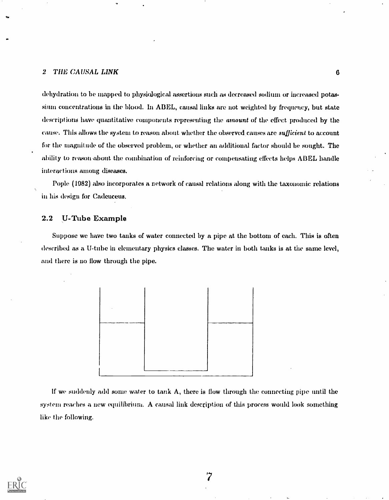dehydration to be mapped to physiological assertions such as decreased sodium or increased potassium concentrations in the blood. In ABEL, causal links are not weighted by frequency, but state descriptions have quantitative components representing the amount of the effect produced by the cause. This allows the system to reason about whether the observed causes are sufficient to account for the magnitude of the observed problem, or whether an additional factor should be sought. The ability to reason about the combination of reinforcing or compensating effects helps ABEL handle interactions among diseases.

Pople (1982) also incorporates a network of causal relations along with the taxonomic relations in his design for Cadeuceus.

## 2.2 U-Tube Example

Suppose we have two tanks of water connected by a pipe at the bottom of each. This is often described as a U-tube in elementary physics classes. The water in both tanks is at the same level, and there is no flow through the pipe.



If we suddenly add some water to tank A, there is flow through the connecting pipe until the system reaches a new equilibrium. A causal link description of this process would look something like the following.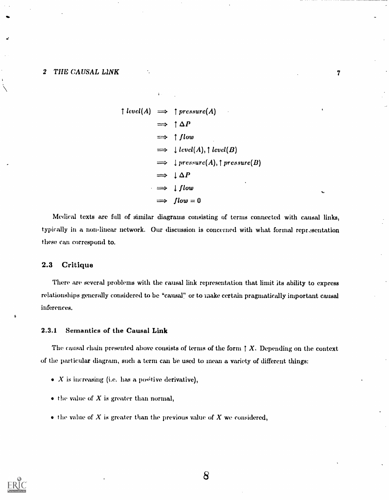$$
\uparrow level(A) \implies \uparrow pressure(A)
$$
\n
$$
\implies \uparrow \Delta P
$$
\n
$$
\implies \uparrow flow
$$
\n
$$
\implies \downarrow level(A), \uparrow level(B)
$$
\n
$$
\implies \downarrow pressure(A), \uparrow pressure(B)
$$
\n
$$
\implies \downarrow \Delta P
$$
\n
$$
\implies \downarrow flow
$$
\n
$$
\implies \downarrow low = 0
$$

Medical texts are full of similar diagrams consisting of terms connected with causal links, typically in a non-linear network. Our discussion is concerned with what formal representation these can correspond to.

## 2.3 Critique

There are several problems with the causal link representation that limit its ability to express relationships generally considered to be "causal" or to make certain pragmatically important causal inferences.

## 2.3.1 Semantics of the Causal Link

The causal chain presented above consists of terms of the form  $\uparrow X$ . Depending on the context of the particular diagram, such a term can be used to mean a variety of different things:

- $\bullet$  X is increasing (i.e. has a positive derivative),
- $\bullet$  the value of X is greater than normal,
- $\bullet$  the value of X is greater than the previous value of X we considered,



8

 $\overline{\mathbf{7}}$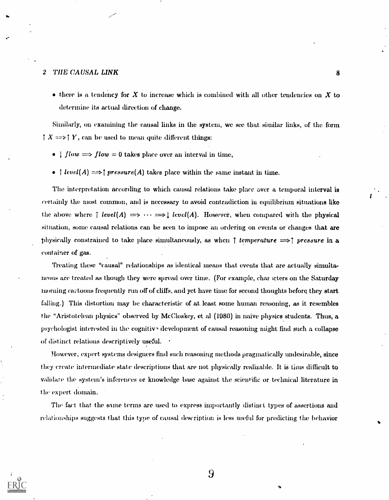$\bullet$  there is a tendency for X to increase which is combined with all other tendencies on X to determine its actual direction of change.

Similarly, on examining the causal links in the system, we see that similar links, of the form  $\uparrow X \Longrightarrow \uparrow Y$ , can be used to mean quite different things:

- $\bullet$  | flow  $\Longrightarrow$  flow = 0 takes place over an interval in time,
- $\bullet$  [ level(A)  $\Longrightarrow$  [ pressure(A) takes place within the same instant in time.

The interpretation according to which causal relations take place over a temporal interval is certainly the most common, and is necessary to avoid contradiction in equilibrimn situations like the above where  $\hat{\rho}$  level(A)  $\implies \cdots \implies \downarrow level(A)$ . However, when compared with the physical situation, some causal relations can be seen to impose an ordering on events or changes that are physically constrained to take place simultaneously, as when  $\uparrow$  temperature  $\Longrightarrow \uparrow$  pressure in a container of gas.

Treating these "causal" relationships as identical means that events that are actually simultaneous are treated as though they were spread over time. (For example, char icters on the Saturday morning cartoons frequently run off of cliffs, and yet have time for second thoughts before they start falling.) This distortion may be characteristic of at least some human reasoning, as it resembles the "Aristotelean physics" observed by McCloskey, et al (1980) in naive physics students. Thus, a psychologist interested in the cognitive development of causal reasoning might find such a collapse of distinct relations descriptively useful.

However, expert systems designers find such reasoning methods pragmatically undesirable, since they create intermediate state descriptions that are not physically realizable. It is thus difficult to validate the system's inferences or knowledge base against the scientific or technical literature in the expert domain.

The fact that the same terms are used to express importantly distinct types of assertions and relationships suggests that this type of causal description is less useful for predicting the behavior

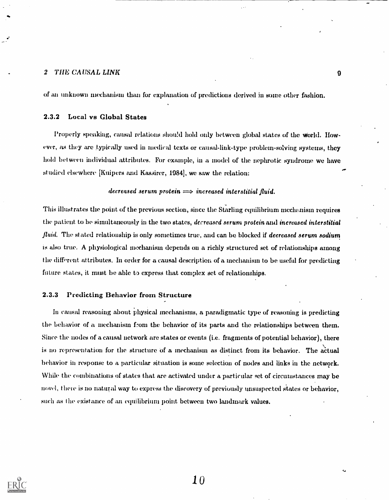of an unknown mechanism than for explanation of predictions derived in some other fashion.

## 2.3.2 Local vs Global States

Properly speaking, causal relations should hold only between global states of the world. However, as they are typically used in medical texts or causal-link-type problem-solving systems, they hold between individual attributes. For example, in a model of the nephrotic syndrome we have studied elsewhere [Kuipers and Kassirer, 1984], we saw the relation:

## decreased serum protein  $\implies$  increased interstitial fluid.

This illustrates the point of the previous section, since the Starling equilibrium mechanism requires the patient to be simultaneously in the two states, decreased serum protein and increased interstitial *fluid.* The stated relationship is only sometimes true, and can be blocked if *decreased serum sodium* is also true. A physiological mechanism depends on a richly structured set of relationships among the diffrirent attributes. In order for a causal description of a mechanism to be useful for predicting future states, it must be able to express that complex set of relationships.

#### 2.3.3 Predicting Behavior from Structure

In causal reasoning about physical mechanisms, a paradigmatic type of reasoning is predicting the behavior of a mechanism from the behavior of its parts and the relationships between them. Since the nodes of a causal network are states or events (i.e. fragments of potential behavior), there is no representation for the structure of a mechanism as distinct from its behavior. The actual behavior in response to a particular situation is some selection of nodes and links in the network. While the combinations of states that are activated under a particular set of circumstances may be novel, thew is no natural way to express the discovery of previously unsuspected states or behavior, such as the existance of an equilibrium point between two landmark values.

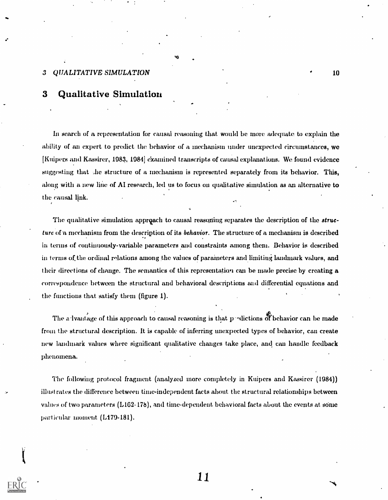## 3 Qualitative Simulation

In search of a representation for causal reasoning that would be more adequate to explain the ability of an expert to predict the behavior of a mechanism under unexpected circumstances, we [Kuipers and Kassirer, 1983, 1984] examined transcripts of causal explanations. We found evidence suggesting that she structure of a mechanism is represented separately from its behavior. This, along with a new line of AI research, led us to focus on qualitative simulation as an alternative to the causal link.

**A** and the second second

The qualitative simulation approach to causal reasoning separates the description of the *struc*ture of a mechanism from the description of its behavior. The structure of a mechanism is described in terms of continuously-variable parameters and constraints among them. Behavior is described in terms of the ordinal relations among the values of parameters and limiting landmark values, and their directions of change. The semantics of this representation can he made precise by creating a correspondence between the structural and behavioral descriptions and differential equations and the functions that satisfy them (figure 1).

The a lvantage of this approach to causal reasoning is that p -dictions of behavior can be made from the structural description. It is capable of inferring unexpected types of behavior, can create new landmark values where significant qualitative changes take place, and can handle feedback phenomena.

The following protocol fragment (analysed more completely in Kuipers and Kassirer (1984)) illustrates the difference between time-independent facts about. the structural relationships between values of two parameters (L162-178), and time-dependent behavioral facts about the events at some particular moment (L179-181).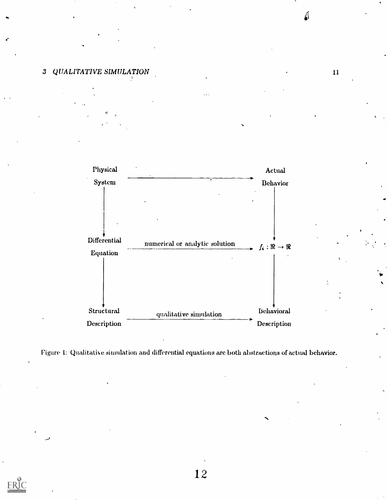11





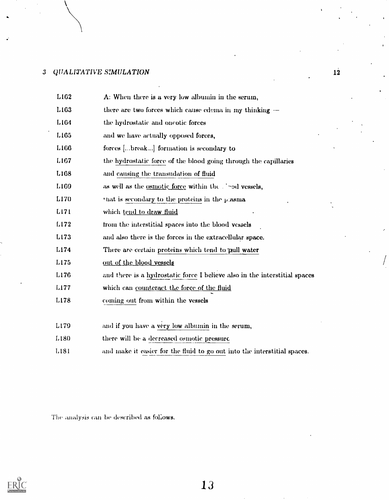## 3 QtIALITATIVE SMILATION

| L <sub>162</sub> | A: When there is a very low albumin in the serum,                          |
|------------------|----------------------------------------------------------------------------|
| L <sub>163</sub> | there are two forces which cause edema in my thinking $-$                  |
| L <sub>164</sub> | the hydrostatic and oncotic forces                                         |
| L <sub>165</sub> | and we have actually opposed forces,                                       |
| L <sub>166</sub> | forces [break] formation is secondary to                                   |
| L <sub>167</sub> | the hydrostatic force of the blood going through the capillaries           |
| L <sub>168</sub> | and causing the transudation of fluid                                      |
| L <sub>169</sub> | as well as the <u>osmotic</u> force within the final vessels,              |
| L170             | at is secondary to the proteins in the $\mu$ asma                          |
| L <sub>171</sub> | which tend to draw fluid                                                   |
| L <sub>172</sub> | from the interstitial spaces into the blood vessels                        |
| L173             | and also there is the forces in the extracellular space.                   |
| L174             | There are certain proteins which tend to pull water                        |
| L175             | out of the blood vessels                                                   |
| L176             | and there is a hydrostatic force I believe also in the interstitial spaces |
| L177             | which can counteract the force of the fluid                                |
| L178             | coming out from within the vessels                                         |
|                  |                                                                            |
| L <sub>179</sub> | and if you have a very low albumin in the serum,                           |
| L <sub>180</sub> | there will be a decreased osmotic pressure                                 |
| L <sub>181</sub> | and make it easier for the fluid to go out into the interstitial spaces.   |
|                  |                                                                            |

The analysis can be described as follows.



13

 $\sqrt{2}$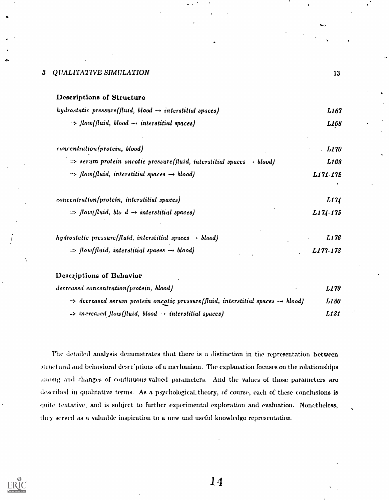| Descriptions of Structure                                                                    |                  |  |
|----------------------------------------------------------------------------------------------|------------------|--|
| hydrostatic pressure(fluid, blood $\rightarrow$ interstitial spaces)                         | <i>L167</i>      |  |
| $\Rightarrow$ flow(fluid, blood $\rightarrow$ interstitial spaces)                           | L <sub>168</sub> |  |
| concentration(protein, blood)                                                                | L170             |  |
| $\Rightarrow$ serum protein oncotic pressure(fluid, interstitial spaces $\rightarrow$ blood) | L169             |  |
| $\Rightarrow$ flow(fluid, interstitial spaces $\rightarrow$ blood)                           | L171-172         |  |
|                                                                                              |                  |  |
| <i>concentration(protein, interstitial spaces)</i>                                           | L174             |  |
| $\Rightarrow$ flow(fluid, blo d $\rightarrow$ interstitial spaces)                           | $L174 - 175$     |  |
| hydrostatic pressure(fluid, interstitial spaces $\rightarrow$ blood)                         | L176             |  |
| $\Rightarrow$ flow(fluid, interstitial spaces $\rightarrow$ blood)                           | L177-178         |  |
| Descriptions of Behavior                                                                     |                  |  |

| decreased concentration(protein, blood)                                                                | L 179       |  |
|--------------------------------------------------------------------------------------------------------|-------------|--|
| $\Rightarrow$ decreased serum protein oncotic pressure(fluid, interstitial spaces $\rightarrow$ blood) | <i>L180</i> |  |
| $\Rightarrow$ increased flow(fluid, blood $\rightarrow$ interstitial spaces)                           | L181        |  |

The detailed analysis demonstrates that there is a distinction in the representation between structural and behavioral descriptions of a mechanism. The explanation focuses on the relationships among and changes of continuous-valued parameters. And the values of those parameters are described in qualitative terms. As a psychological, theory, of course, each of these conclusions is quite tentative, and is subject to further experimental exploration and evaluation. Nonetheless, t hey served as a valuable inspiration to a new and useful knowledge representation.

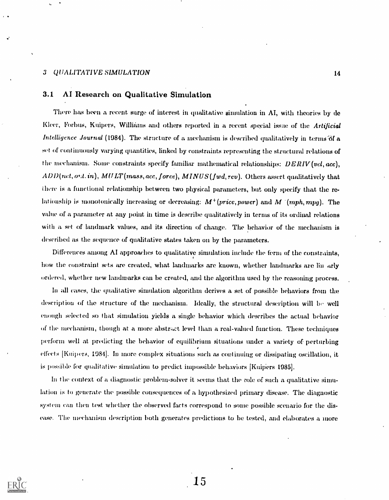## 3.1 Al Research on Qualitative Simulation

There has been a recent surge of interest in qualitative simulation in AI, with theories by de Kleer, Forbus, Kuipers, Williams and others reported in a recent special issue of the Artificial Intelligence Journal (1984). The structure of a mechanism is described qualitatively in terms of a set of continuously varying quantities, linked by constraints representing the structural relations of the mechanism. Some constraints specify familiar mathematical relationships:  $DERIV (vel, acc),$  $ADD(net, or.t. in), MULT (mass, acc, force), MINUS (fwd, rev).$  Others assert qualitatively that here is a functional relationship between two physical parameters, but only specify that the relationship is monotonically increasing or decreasing:  $M^+(price, power)$  and  $M^+(mph, mpg)$ . The value of a parameter at any point in time is describe qualitatively in terms of its ordinal relations with a set of landmark values, and its direction of change. The behavior of the mechanism is described as the sequence of qualitative states taken on by the parameters.

Differences among AI approaches to qualitative simulation include the ferm of the constraints, how the constraint sets are created, what landmarks are known, whether landmarks are lin arly ordered, whether new landmarks can be created, and the algorithm used by the reasoning process.

In all cases, the qualitative simulation algorithm derives a set of possible behaviors from the description of the structure of the mechanism. Ideally, the structural description will be well enough selected so that simulation yields a single behavior which describes the actual behavior of the mechanism, though at a more abstract level than a real-valued function. These techniques perform well at predicting the behavior of equilibrium situations under a variety of perturbing effects [Kuipers, 1984]. In more complex situations such as continuing or dissipating oscillation, it is possible for qualitative simulation to predict impossible behaviors [Kuipers 1985].

In the context of a diagnostic problem-solver it seems that the role of such a qualitative simulation is to generate the possible consequences of a hypothesized primary disease. The diagnostic system can then test whether the observed facts correspond to some possible scenario for the disease. The mechanism description both generates predictions to be tested, and elaborates a more

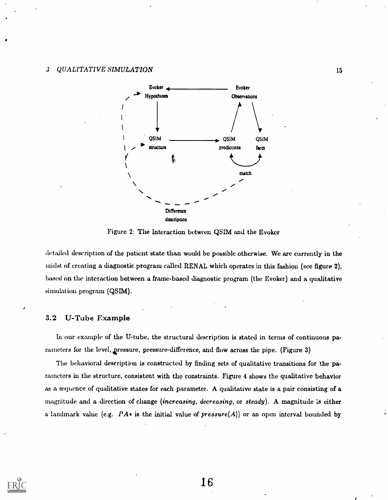

Figure 2: The Interaction between QSIM and the Evoker

detailed description of the patient state than would be possible otherwise. We are currently in the midst of creating a diagnostic program called RENAL which operates in this fashion (see figure 2), based on the interaction between a frame-based diagnostic program (the Evoker) and a qualitative simulation program (QSIM).

## 3.2 U-Tube Example

In our example of the U-tube, the structural description is stated in terms of continuous parameters for the level, Qressure, pressure-difference, and flow across the pipe. (Figure 3)

The behavioral description is constructed by finding sets of qualitative transitions for the parameters in the structure, consistent with the constraints. Figure 4 shows the qualitative behavior as a sequence of qualitative states for each parameter. A qualitative state is a pair consisting of a magnitude and a direction of change (increasing, decreasing, or steady). A magnitude is either a landmark value (e.g.  $PA*$  is the initial value of  $pressure(A)$ ) or an open interval bounded by

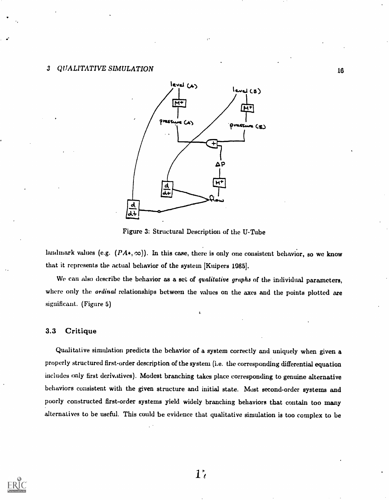

Figure 3: Structural Description of the U-Tube

landmark values (e.g.  $(PA*, \infty)$ ). In this case, there is only one consistent behavior, so we know that it represents the actual behavior of the system [Kuipers 1085].

We can also describe the behavior as a set of qualitative graphs of the individual parameters, where only the *ordinal* relationships between the values on the axes and the points plotted are significant. (Figure 5)

## 3.3 Critique

Qualitative simulation predicts the behavior of a system correctly and uniquely when given a properly structured first-order description of the system (i.e. the corresponding differential equation includes only first derivatives). Modest branching takes place corresponding to genuine alternative behaviors consistent with the given structure and initial state. Most second-order systems and poorly constructed first-order systems yield widely branching behaviors that contain too many alternatives to be useful. This could be evidence that qualitative simulation is too complex to be

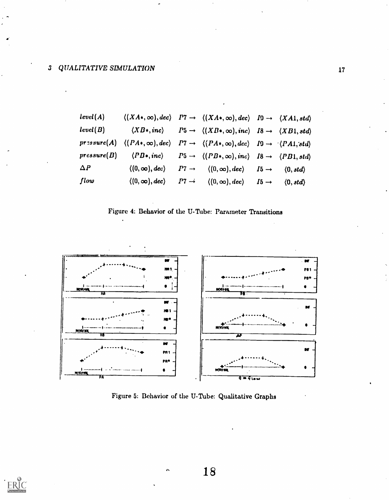| level(A)    |                                                                                                                                                               | $\langle (XA*,\infty),dec \rangle$ $P7 \rightarrow \langle (XA*,\infty),dec \rangle$ $I9 \rightarrow \langle XA1, std \rangle$ |                          |
|-------------|---------------------------------------------------------------------------------------------------------------------------------------------------------------|--------------------------------------------------------------------------------------------------------------------------------|--------------------------|
| level(B)    | $\langle XB*, inc \rangle$                                                                                                                                    | $P5 \rightarrow \langle (XB*, \infty), inc \rangle$ $I8 \rightarrow \langle XB1, std \rangle$                                  |                          |
|             | $prasure(A) \quad \langle (PA*, \infty), dec \rangle \quad P7 \rightarrow \langle (PA*, \infty), dec \rangle \quad I9 \rightarrow \langle (PA1, std) \rangle$ |                                                                                                                                |                          |
| pressure(B) |                                                                                                                                                               | $\langle PB*, inc \rangle$ $P5 \rightarrow \langle (PB*, \infty), inc \rangle$ $B \rightarrow \langle PB1, std \rangle$        |                          |
| $\Delta P$  | $\langle (0, \infty), dec \rangle$                                                                                                                            | $P7 \rightarrow (\langle 0, \infty), dec \rangle$ $I5 \rightarrow$                                                             | (0, std)                 |
| flow        |                                                                                                                                                               | $\langle (0, \infty), dec \rangle$ $P7 \rightarrow \langle (0, \infty), dec \rangle$ $I5 \rightarrow$                          | $\langle 0, std \rangle$ |





Figure 5: Behavior of the U -Tube: Qualitative Graphs

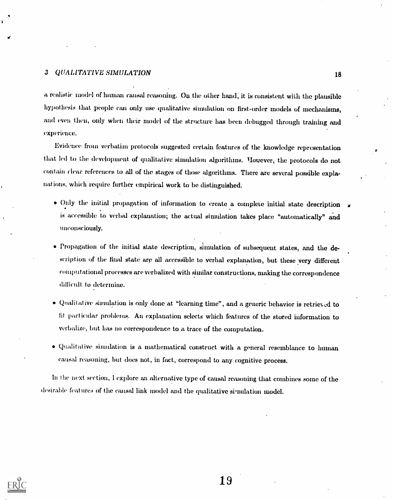a realistic model of human causal reasoning. On the other hand, it is consistent with the plausible hypothesis that people can only use qualitative simulation on first-order models of mechanisms, and even then, only when their model of the structure has been debugged through training and experience.

Evidence from verbatim protocols suggested certain features of the knowledge representation that led to the development of qualitative simulation algorithms. TIowever, the protocols do not contain clear references to all of the stages of those algorithms. There are several possible explanat ions, which require further empirical work to be distinguished.

- Only the initial propagation of information to create a complete initial state description is accessible to verbal explanation; the actual simulation takes place "automatically" and unconsciously.
- Propagation of the initial state description, simulation of subsequent states, and the description of the final state are all accessible to verbal explanation, but these very different compiltational processes are verbalized with similar constructions, making the correspondence difficult to determine.
- $\bullet$  Qualitative simulation is only done at "learning time", and a generic behavior is retrieved to fit part icular problems. An explanation selects which features of the stored information to verbalize, but has no correspondence to a trace of the computation.
- $\bullet$  Qualitative simulation is a mathematical construct with a general resemblance to human causal reasoning, but does not, in fact, correspond to any cognitive process.

hi the next section, I explore an alternative type of causal reasoning that combines some of the desirable features of the causal link model and the qualitative simulation model.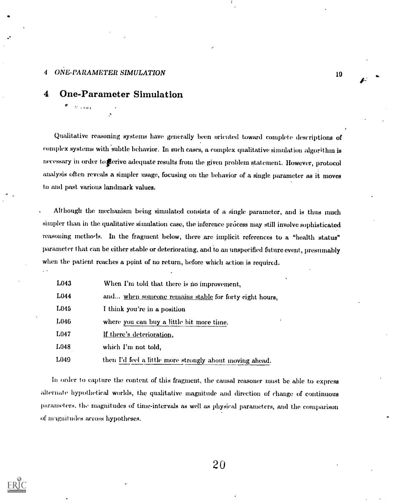## 4 ONE-PARAMETER SIMULATION

 $\phi = \frac{1}{2\pi}$  , and

## 4 One-Parameter Simulation

Qualitative reasoning systems have generally been oriented toward complete descriptions of complex systems with subtle behavior. In such cases, a complex qualitative simulation algorithm is necessary in order to ferive adequate results from the given problem statement. However, protocol analysis often reveals a simpler usage, focusing on the behavior of a single parameter as it moves to and past various landmark values.

Although the mechanism being simulated consists of a single parameter, and is thus much simpler than in the qualitative simulation case, the inference process may still involve sophisticated reasoning methods. In the fragment below, there are implicit references to a "health status" parameter that can be either stable or deteriorating, and to an unspecified future event, presumably when the patient reaches a point of no return, before which action is required.

| L043             | When I'm told that there is no improvement,              |
|------------------|----------------------------------------------------------|
| L044             | and when someone remains stable for forty eight hours,   |
| L045             | I think you're in a position                             |
| L046             | where you can buy a little bit more time.                |
| L <sub>047</sub> | If there's deterioration,                                |
| L048             | which I'm not told,                                      |
| L049             | then I'd feel a little more strongly about moving ahead. |

In order to capture the content of this fragment, the causal reasoner must be able to express alternate hypothetical worlds, the qualitative magnitude and direction of change of continuous parameters, the magnitudes of time-intervals as well as physical parameters, and the comparison of magnitudes across hypotheses.

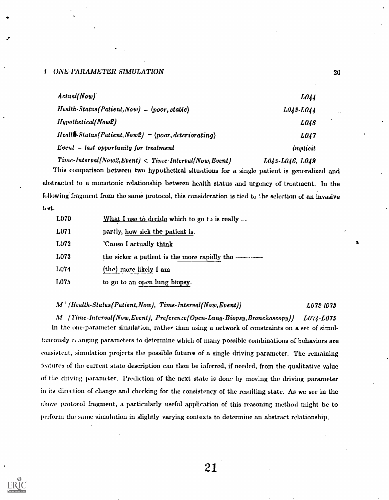## <sup>4</sup> ()NE .PARAMETER SIMULATION 20

| Actual(Now)                                                                | <i>LO44</i>     |           |
|----------------------------------------------------------------------------|-----------------|-----------|
| $Health-Status(Patient, Now) = \langle poor, stable \rangle$               | L043-L044       | $\cdot$   |
| <b>Hypothetical</b> (Now2)                                                 | L048            | $\bullet$ |
| $Health\cdot Status/Pattern, Now 2) = \langle poor, deteriorating \rangle$ | L047            |           |
| $Event = last opportunity for treatment$                                   | implicit        |           |
| $Time\text{-}Interval (Now2, Event) < Time\text{-}Interval (Now, Event)$   | L045-L046, L049 |           |

This comparison between two hypothetical situations for a single patient is generalized and abstracted to a monotonic relationship between health status and urgency of treatment. In the following fragment from the same protocol, this consideration is tied to the selection of an invasive test.

| L070 | What I use to decide which to go to is really |
|------|-----------------------------------------------|
| L071 | partly, how sick the patient is.              |
| L072 | 'Cause I actually think                       |
| L073 |                                               |
| L074 | (the) more likely I am                        |
| L075 | to go to an open lung biopsy.                 |

## $M^+$  (Health-Status(Patient,Now), Time-Interval(Now,Event))  $L072$ -1078

M (Time-Interval(Now, Event), Preference(Open-Lung-Biopsy, Bronchoscopy)) L074-L075 In the one-parameter simulation, rather than using a network of constraints on a set of simultaneously ci anging parameters to determine which of many possible combinations of behaviors are consistent, simulation projects the possible futures of a single driving parameter. The remaining features of the current state description can then be inferred, if needed, from the qualitative value of the driving parameter. Prediction of the next state is done by mov:ng the driving parameter in its direction of change and checking for the consistency of the resulting state. As we see in the above protocol fragment, a particularly useful application of this reasoning method might be to perform the same simulation in slightly varying contexts to determine an abstract relationship.

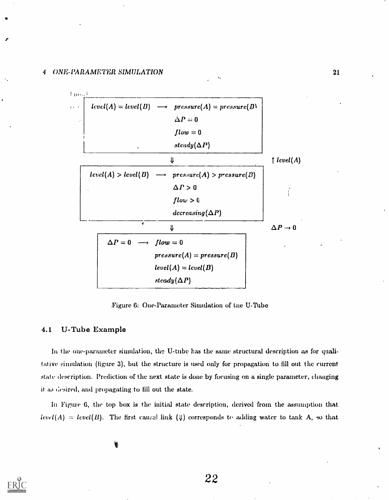

.Figure 6: One-Parameter Simulation of the U-Tube

## 4.1 U-Tube Example

In the one-parameter simulation, the U-tube has the same structural description as for qualitative simulation (figure 3), but the structure is used only for propagation to fill out the current state description. Prediction of the next state is done by focusing on a single parameter, changing it as desired, and propagating to fill out the state.

In Figure 6, the top box is the initial state description, derived from the assumption that  $level(A) = level(B)$ . The first causal link (4) corresponds to adding water to tank A, so that

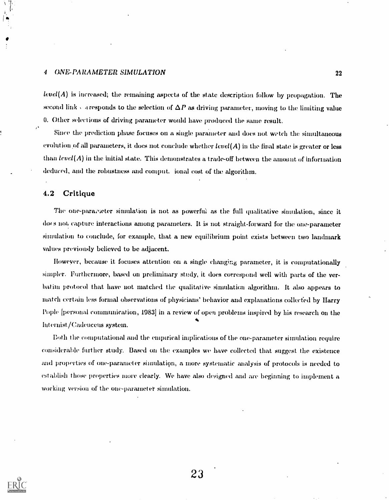## 4 (ONE-PARAMETER SIMULATION 22

 $level(A)$  is increased; the remaining aspects of the state description follow by propagation. The second link caresponds to the selection of  $\Delta P$  as driving parameter, moving to the limiting value 0. Other select ions of driving parameter would have produced the same result.

Since the prediction phase focuses on a single parameter and does not wetch the simultaneous evolution of all parameters, it does not conclude whether  $level(A)$  in the final state is greater or less than  $level(A)$  in the initial state. This demonstrates a trade-off between the amount of information deduced, and the robustness and comput. Tonal cost of the algorithm.

## 4.2 Critique

The one-parameter simulation is not as powerful as the full qualitative simulation, since it do( s not, capture interactions among parameters. It is not straight-forward for the one-parameter simulation to conclude, for example, that a new equilibrium point exists between two landmark values previously believed to be adjacent.

However, because it focuses attention on a single changing parameter, it is computationally simpler. Furthermore, based on preliminary study, it does correspond well with parts of the verbatim protocol that have not matched the qualitative simulation algorithm. It also appears to match certain less formal observations of physicians' behavior and explanations collected by Harry Pople [personal communication, 1083] in a review of open problems inspired by his research on the Int ernist/Cadeuceus system.

Both the computational and the empirical implications of the one-parameter simulation require considerable further study. Based on the examples we have collected that suggest the existence and properties of one-parameter simulation, a more systematic analysis of protocols is needed to establish those properties more clearly. We have also designed and are beginning to implement a working version of the one-parameter simulation.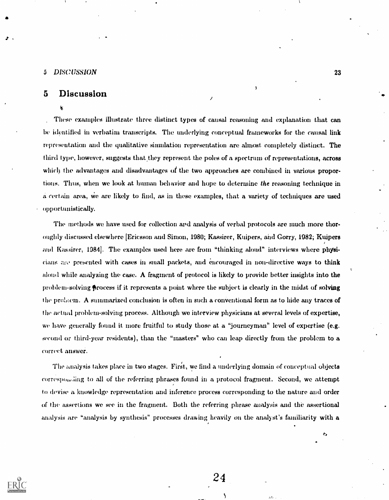#### <sup>5</sup> DISCUSSION 23

## 5 Discussion

#### 复

These examples illustrate three distinct types of causal reasoning and explanation that can be identified in verbatim transcripts. The underlying conceptual frameworks for the causal link representation and the qualitative simulation representation are almost completely distinct. The third type, however, suggests that they represent the poles of a spectrum of representations, across which the advantages and disadvantages of the two approaches are combined in various proportions. Thus, when we look at human behavior and hope to determine the reasoning technique in a certain area, We are likely to find, as in these examples, that a variety of techniques are used opportunistically.

Ş

The methods we have used for collection and analysis of verbal protocols are much more thoroughly discussed elsewhere [Ericsson and Simon, 1980; Kassirer, Kuipers, and Gorry, 1982; Kuipers and Kassirer, 1984]. The examples used here are from "thinking aloud" interviews where physicians presented with cases in small packets, and encouraged in non-directive ways to think aloud while analyzing the case. A fragment of protocol is likely to provide better insights into the problem-solving frocess if it represents a point where the subject is clearly in the midst of solving the prehwm. A summarized conclusion is often in such a conventional form as to hide any traces of the actual problem-solving process. Although we interview physicians at several levels of expertise, we have generally found it more fruitful to study those at a "journeyman" level of expertise (e.g. second or third-year residents), than the "masters" who can leap directly from the problem to a correct answer.

The analysis takes place in two stages. First, we find a underlying domain of conceptual objects correspoi,iing to all of the referring phrases found in a protocol fragment.. Second, we attempt to devise a knowledge representation and inference process corresponding to the nature and order of the assertions we see in the fragment. Both the referring phrase analysis and the assertional analysis are "analysis by synthesis" processes drawing heavily on the analyst's familiarity with a

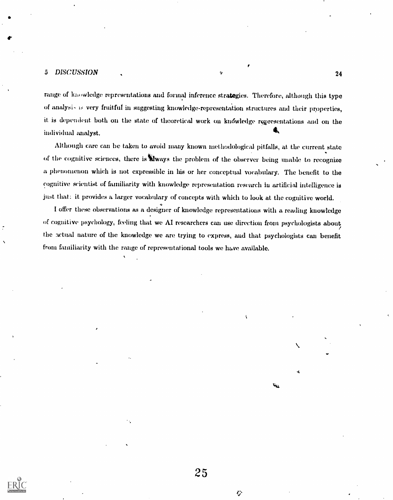## 5 DISCUSSION 4 24

range of knowledge representations and formal inference strategies. Therefore, although this type of analysi, very fruitful in suggesting knowledge-representation structures and their properties, it is dependent both on the state of theoretical work on knowledge representations and on the G. individual analyst.

Although care can be taken to avoid many known methodological pitfalls, at the current state of the cognitive sciences, there is tiways the problem of the observer being unable to recognize a phenomenon which is not expressible in his or her conceptual vocabulary. The benefit to the cognitive scientist of familiarity with knowledge representation research lu artificial intelligence is just that: it provides a larger vocabulary of concepts with which to look at the cognitive world.

I offer these observations as a designer of knowledge representations with a reading knowledge of cognitive psychology, feeling that we AI researchers can use direction from psychologists about the actual nature of the knowledge we are trying to express, and that psychologists can benefit from familiarity with the range of representational tools we have available.

25

♦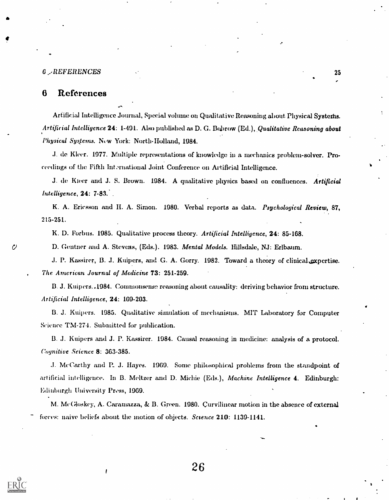#### 6 /REFERENCES <sup>25</sup>

## 6 References

Artificial Intelligence Journal, Special volume on Qualitative Reasoning about Physical Systems. Artificial Intelligence 24: 1-491. Also published as D. G. Bobrow (Ed.), Qualitative Reasoning about Physical Systems. New York: North-Holland, 1084.

.1. de Meer. 1977. Multiple representations of knowledge in a mechanics problem-solver. Proceedings of the Fifth International Joint Conference on Artificial Intelligence.

J. de Kteer and J. S. Brown. 1984. A qualitative physics based on confluences. Artificial Intelligence, 24: 7-83. .

K. A. Ericsson and II. A. Simon. 1980. Verbal reports as data. Psychological Review, 87, 215-251.

K. D. Forbus. 1985. Qualitative process theory. Artificial Intelligence, 24: 85-168.

D. Geuther and A. Stevens, (Eds.). 1983. Mental Models. Hillsdale, NJ: Erlbaum.

J. P. Kassirer, B. J. Kuipers, and G. A. Gorry. 1982. Toward a theory of clinical.expertise. The American Journal of Medicine 73: 251-259.

B. J. Kuipers..1984. Commonsense reasoning about causality: deriving behavior from structure. Artificial Intelligence, 24: 169-203.

B. J. Kuipers. 1985. Qualitative simulation of mechanisms. MIT Laboratory for Computer Science TM-274. Submitted for publication.

13. J. Kuipers and J. P. Kassirer. 1984. Causal reasoning in medicine: analysis of a protocol. Cognitive Science 8: 363-385.

.1. McCarthy and P. J. Hayes. 1969. Some philosophical problems from the standpoint of artificial intelligence. In B. Meltzer and D. Michie (Eds.), Machine Intelligence 4. Edinburgh: Edinburgh University Press, 1969.

M. McCloskey, A. Caraniazza, & B. Green. 1980. Curvilinear motion in the absence of external forces: naive beliefs about the motion of objects. Science 210: 1139-1141.

 $\cal C$